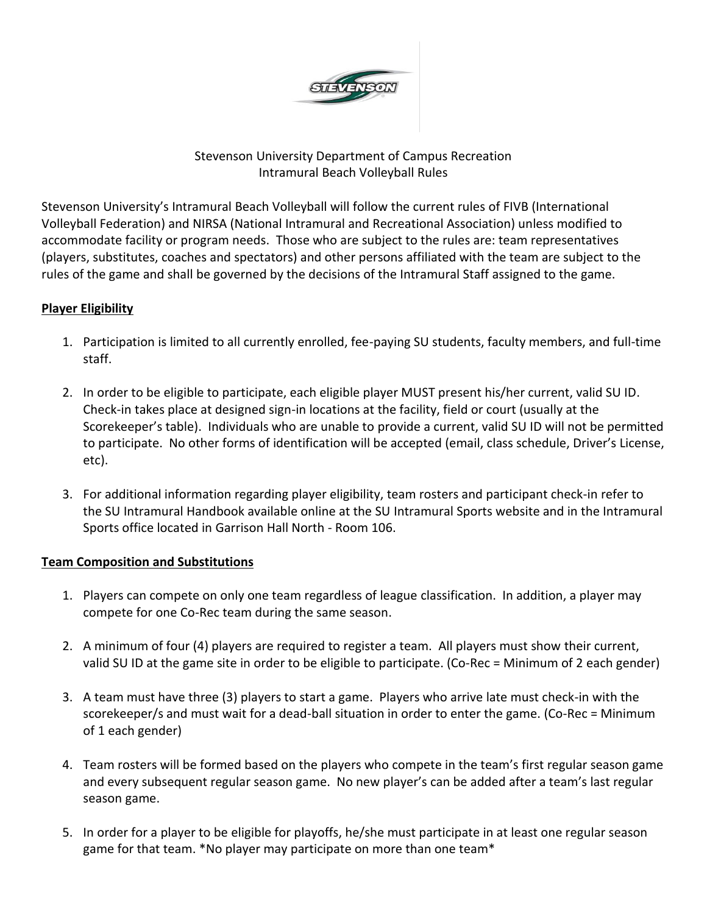

# Stevenson University Department of Campus Recreation Intramural Beach Volleyball Rules

Stevenson University's Intramural Beach Volleyball will follow the current rules of FIVB (International Volleyball Federation) and NIRSA (National Intramural and Recreational Association) unless modified to accommodate facility or program needs. Those who are subject to the rules are: team representatives (players, substitutes, coaches and spectators) and other persons affiliated with the team are subject to the rules of the game and shall be governed by the decisions of the Intramural Staff assigned to the game.

# **Player Eligibility**

- 1. Participation is limited to all currently enrolled, fee-paying SU students, faculty members, and full-time staff.
- 2. In order to be eligible to participate, each eligible player MUST present his/her current, valid SU ID. Check-in takes place at designed sign-in locations at the facility, field or court (usually at the Scorekeeper's table). Individuals who are unable to provide a current, valid SU ID will not be permitted to participate. No other forms of identification will be accepted (email, class schedule, Driver's License, etc).
- 3. For additional information regarding player eligibility, team rosters and participant check-in refer to the SU Intramural Handbook available online at the SU Intramural Sports website and in the Intramural Sports office located in Garrison Hall North - Room 106.

## **Team Composition and Substitutions**

- 1. Players can compete on only one team regardless of league classification. In addition, a player may compete for one Co-Rec team during the same season.
- 2. A minimum of four (4) players are required to register a team. All players must show their current, valid SU ID at the game site in order to be eligible to participate. (Co-Rec = Minimum of 2 each gender)
- 3. A team must have three (3) players to start a game. Players who arrive late must check-in with the scorekeeper/s and must wait for a dead-ball situation in order to enter the game. (Co-Rec = Minimum of 1 each gender)
- 4. Team rosters will be formed based on the players who compete in the team's first regular season game and every subsequent regular season game. No new player's can be added after a team's last regular season game.
- 5. In order for a player to be eligible for playoffs, he/she must participate in at least one regular season game for that team. \*No player may participate on more than one team\*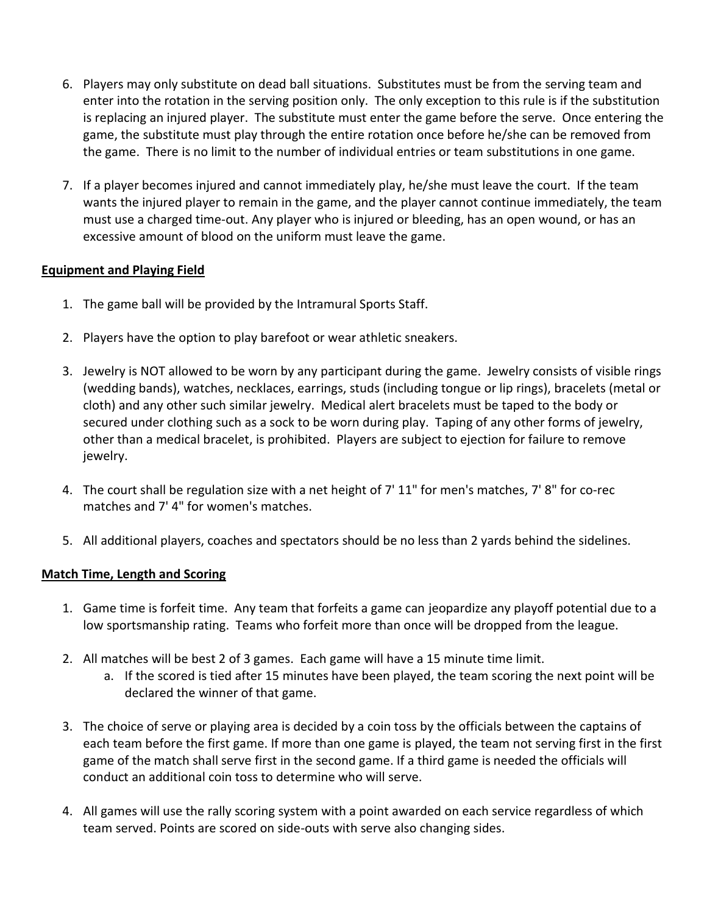- 6. Players may only substitute on dead ball situations. Substitutes must be from the serving team and enter into the rotation in the serving position only. The only exception to this rule is if the substitution is replacing an injured player. The substitute must enter the game before the serve. Once entering the game, the substitute must play through the entire rotation once before he/she can be removed from the game. There is no limit to the number of individual entries or team substitutions in one game.
- 7. If a player becomes injured and cannot immediately play, he/she must leave the court. If the team wants the injured player to remain in the game, and the player cannot continue immediately, the team must use a charged time-out. Any player who is injured or bleeding, has an open wound, or has an excessive amount of blood on the uniform must leave the game.

## **Equipment and Playing Field**

- 1. The game ball will be provided by the Intramural Sports Staff.
- 2. Players have the option to play barefoot or wear athletic sneakers.
- 3. Jewelry is NOT allowed to be worn by any participant during the game. Jewelry consists of visible rings (wedding bands), watches, necklaces, earrings, studs (including tongue or lip rings), bracelets (metal or cloth) and any other such similar jewelry. Medical alert bracelets must be taped to the body or secured under clothing such as a sock to be worn during play. Taping of any other forms of jewelry, other than a medical bracelet, is prohibited. Players are subject to ejection for failure to remove jewelry.
- 4. The court shall be regulation size with a net height of 7' 11" for men's matches, 7' 8" for co-rec matches and 7' 4" for women's matches.
- 5. All additional players, coaches and spectators should be no less than 2 yards behind the sidelines.

## **Match Time, Length and Scoring**

- 1. Game time is forfeit time. Any team that forfeits a game can jeopardize any playoff potential due to a low sportsmanship rating. Teams who forfeit more than once will be dropped from the league.
- 2. All matches will be best 2 of 3 games. Each game will have a 15 minute time limit.
	- a. If the scored is tied after 15 minutes have been played, the team scoring the next point will be declared the winner of that game.
- 3. The choice of serve or playing area is decided by a coin toss by the officials between the captains of each team before the first game. If more than one game is played, the team not serving first in the first game of the match shall serve first in the second game. If a third game is needed the officials will conduct an additional coin toss to determine who will serve.
- 4. All games will use the rally scoring system with a point awarded on each service regardless of which team served. Points are scored on side-outs with serve also changing sides.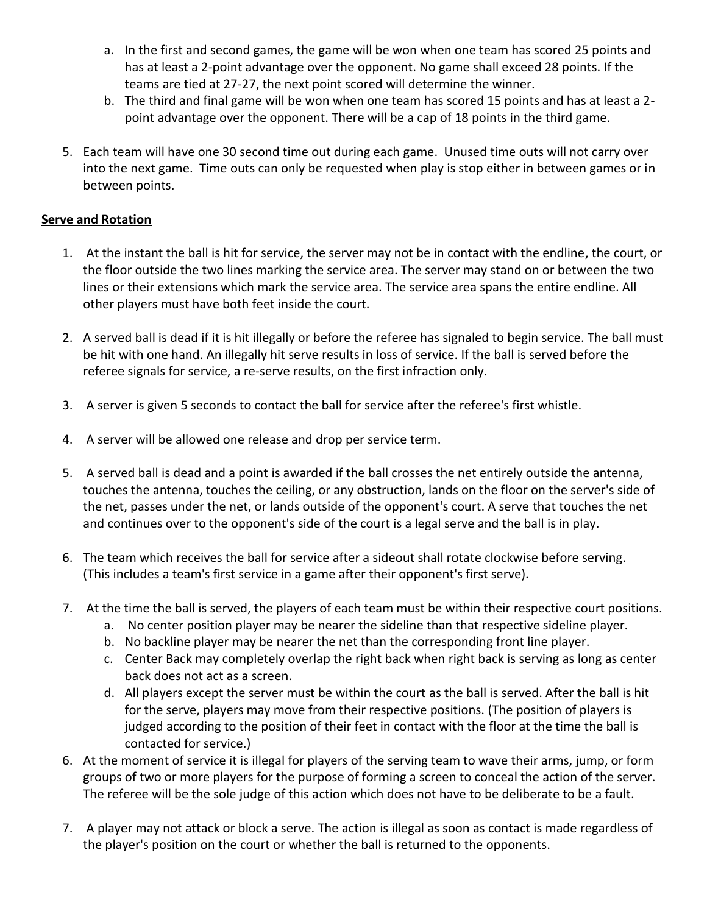- a. In the first and second games, the game will be won when one team has scored 25 points and has at least a 2-point advantage over the opponent. No game shall exceed 28 points. If the teams are tied at 27-27, the next point scored will determine the winner.
- b. The third and final game will be won when one team has scored 15 points and has at least a 2 point advantage over the opponent. There will be a cap of 18 points in the third game.
- 5. Each team will have one 30 second time out during each game. Unused time outs will not carry over into the next game. Time outs can only be requested when play is stop either in between games or in between points.

## **Serve and Rotation**

- 1. At the instant the ball is hit for service, the server may not be in contact with the endline, the court, or the floor outside the two lines marking the service area. The server may stand on or between the two lines or their extensions which mark the service area. The service area spans the entire endline. All other players must have both feet inside the court.
- 2. A served ball is dead if it is hit illegally or before the referee has signaled to begin service. The ball must be hit with one hand. An illegally hit serve results in loss of service. If the ball is served before the referee signals for service, a re-serve results, on the first infraction only.
- 3. A server is given 5 seconds to contact the ball for service after the referee's first whistle.
- 4. A server will be allowed one release and drop per service term.
- 5. A served ball is dead and a point is awarded if the ball crosses the net entirely outside the antenna, touches the antenna, touches the ceiling, or any obstruction, lands on the floor on the server's side of the net, passes under the net, or lands outside of the opponent's court. A serve that touches the net and continues over to the opponent's side of the court is a legal serve and the ball is in play.
- 6. The team which receives the ball for service after a sideout shall rotate clockwise before serving. (This includes a team's first service in a game after their opponent's first serve).
- 7. At the time the ball is served, the players of each team must be within their respective court positions.
	- a. No center position player may be nearer the sideline than that respective sideline player.
	- b. No backline player may be nearer the net than the corresponding front line player.
	- c. Center Back may completely overlap the right back when right back is serving as long as center back does not act as a screen.
	- d. All players except the server must be within the court as the ball is served. After the ball is hit for the serve, players may move from their respective positions. (The position of players is judged according to the position of their feet in contact with the floor at the time the ball is contacted for service.)
- 6. At the moment of service it is illegal for players of the serving team to wave their arms, jump, or form groups of two or more players for the purpose of forming a screen to conceal the action of the server. The referee will be the sole judge of this action which does not have to be deliberate to be a fault.
- 7. A player may not attack or block a serve. The action is illegal as soon as contact is made regardless of the player's position on the court or whether the ball is returned to the opponents.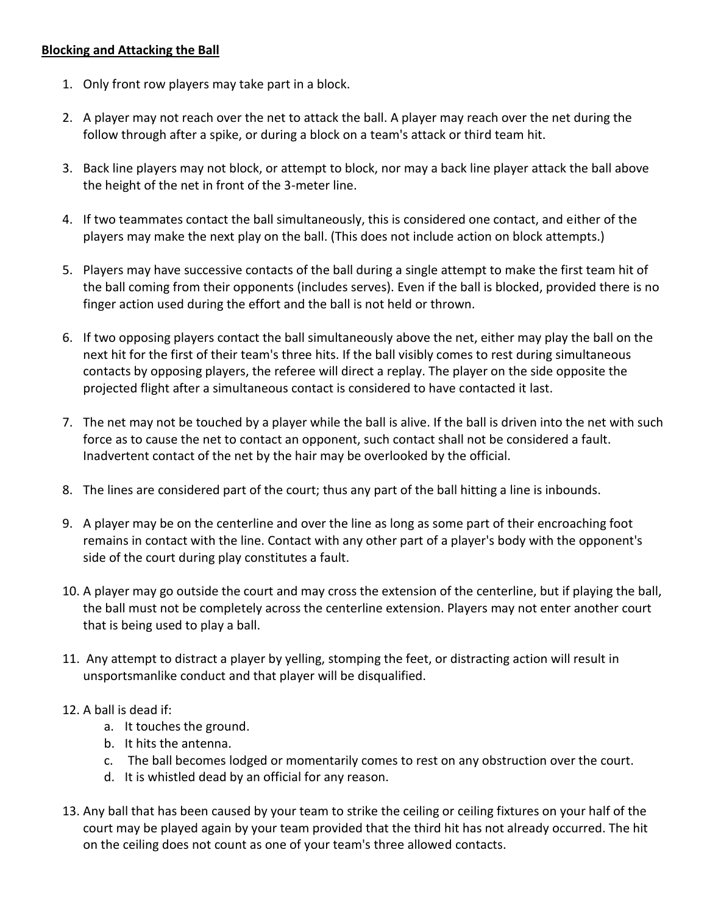#### **Blocking and Attacking the Ball**

- 1. Only front row players may take part in a block.
- 2. A player may not reach over the net to attack the ball. A player may reach over the net during the follow through after a spike, or during a block on a team's attack or third team hit.
- 3. Back line players may not block, or attempt to block, nor may a back line player attack the ball above the height of the net in front of the 3-meter line.
- 4. If two teammates contact the ball simultaneously, this is considered one contact, and either of the players may make the next play on the ball. (This does not include action on block attempts.)
- 5. Players may have successive contacts of the ball during a single attempt to make the first team hit of the ball coming from their opponents (includes serves). Even if the ball is blocked, provided there is no finger action used during the effort and the ball is not held or thrown.
- 6. If two opposing players contact the ball simultaneously above the net, either may play the ball on the next hit for the first of their team's three hits. If the ball visibly comes to rest during simultaneous contacts by opposing players, the referee will direct a replay. The player on the side opposite the projected flight after a simultaneous contact is considered to have contacted it last.
- 7. The net may not be touched by a player while the ball is alive. If the ball is driven into the net with such force as to cause the net to contact an opponent, such contact shall not be considered a fault. Inadvertent contact of the net by the hair may be overlooked by the official.
- 8. The lines are considered part of the court; thus any part of the ball hitting a line is inbounds.
- 9. A player may be on the centerline and over the line as long as some part of their encroaching foot remains in contact with the line. Contact with any other part of a player's body with the opponent's side of the court during play constitutes a fault.
- 10. A player may go outside the court and may cross the extension of the centerline, but if playing the ball, the ball must not be completely across the centerline extension. Players may not enter another court that is being used to play a ball.
- 11. Any attempt to distract a player by yelling, stomping the feet, or distracting action will result in unsportsmanlike conduct and that player will be disqualified.

#### 12. A ball is dead if:

- a. It touches the ground.
- b. It hits the antenna.
- c. The ball becomes lodged or momentarily comes to rest on any obstruction over the court.
- d. It is whistled dead by an official for any reason.
- 13. Any ball that has been caused by your team to strike the ceiling or ceiling fixtures on your half of the court may be played again by your team provided that the third hit has not already occurred. The hit on the ceiling does not count as one of your team's three allowed contacts.